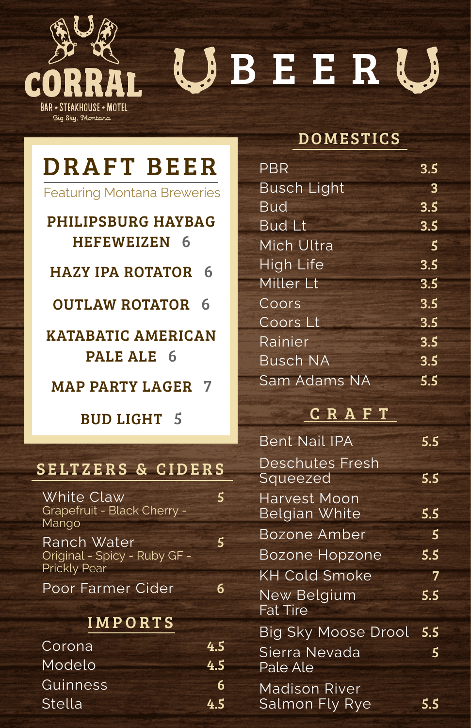

# UBEERU

## DRAFT BEER

Featuring Montana Breweries

### PHILIPSBURG HAYBAG HEFEWEIZEN 6

HAZY IPA ROTATOR 6

OUTLAW ROTATOR 6

KATABATIC AMERICAN PALE ALE 6

MAP PARTY LAGER 7

BUD LIGHT 5

### SELTZERS & CIDERS

| White Claw<br>Grapefruit - Black Cherry -<br>Mango                 | $\overline{\phantom{a}}$ |
|--------------------------------------------------------------------|--------------------------|
| Ranch Water<br>Original - Spicy - Ruby GF -<br><b>Prickly Pear</b> | 5                        |
| Poor Farmer Cider                                                  | հ                        |
| <b>IMPORTS</b>                                                     |                          |
| Corona                                                             | 4.5                      |
| Modelo                                                             | 4.5                      |

Guinness 6 Stella 4.5

### DOMESTICS

| <b>PBR</b>         | 3.5              |
|--------------------|------------------|
| <b>Busch Light</b> | 3                |
| <b>Bud</b>         | 3.5              |
| <b>Bud Lt</b>      | 3.5              |
| Mich Ultra         | 5                |
| <b>High Life</b>   | 3.5              |
| Miller Lt          | $\overline{3.5}$ |
| Coors              | 3.5              |
| Coors Lt           | 3.5              |
| Rainier            | 3.5              |
| <b>Busch NA</b>    | 3.5              |
| Sam Adams NA       | 5.5              |

#### C R A F T

| <b>Bent Nail IPA</b>                 | 5.5 |
|--------------------------------------|-----|
| <b>Deschutes Fresh</b><br>Squeezed   | 5.5 |
| <b>Harvest Moon</b><br>Belgian White | 5.5 |
| <b>Bozone Amber</b>                  | 5   |
| <b>Bozone Hopzone</b>                | 5.5 |
| <b>KH Cold Smoke</b>                 | 7   |
| New Belgium<br><b>Fat Tire</b>       | 5.5 |
| <b>Big Sky Moose Drool</b>           | 5.5 |
| Sierra Nevada<br>Pale Ale            | 5   |
| Madison River<br>Salmon Fly Rye      | 5.5 |